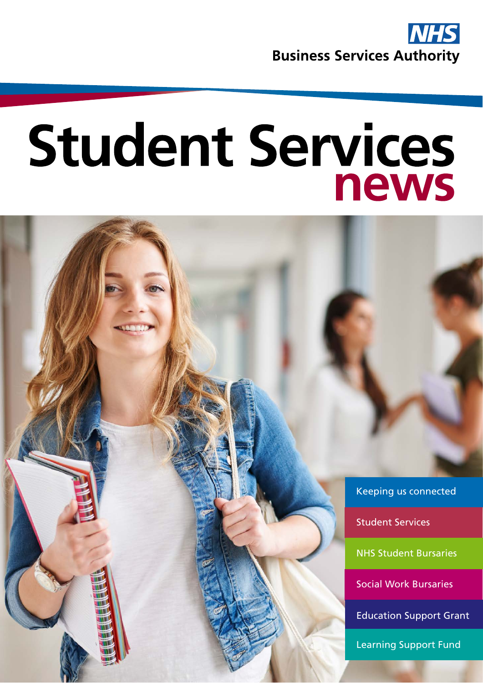

# <span id="page-0-0"></span>Student Services news

Keeping us connected

Student Services

NHS Student Bursaries

Social Work Bursaries

Education Support Grant

Learning Support Fund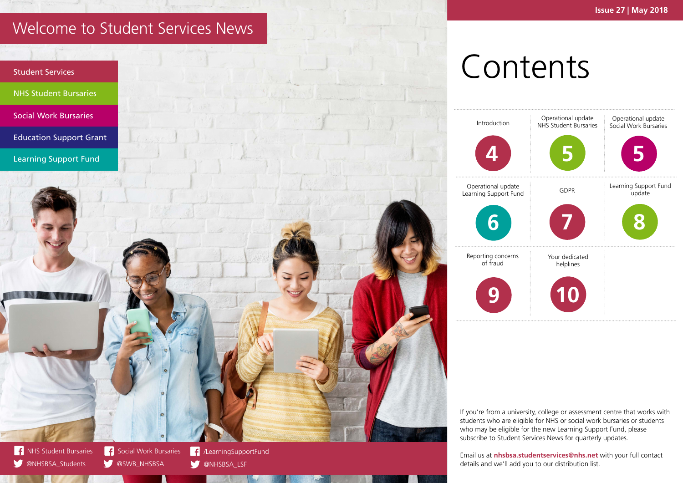# Contents



#### <span id="page-1-0"></span>Welcome to Student Services News

If you're from a university, college or assessment centre that works with students who are eligible for NHS or social work bursaries or students who may be eligible for the new Learning Support Fund, please subscribe to Student Services News for quarterly updates.

[@NHSBSA\\_Students](http://www.twitter.com/NHSBSA_Students) W

**OSWB\_NHSBSA** 

[/LearningSupportFund](http://www.facebook.com/socialworkbursaries) ONHSBSA\_LSF





Email us at **[nhsbsa.studentservices@nhs.net](mailto:nhsbsa.studentservices%40nhs.net?subject=)** with your full contact details and we'll add you to our distribution list.

Learning Support Fund



Reporting concerns of fraud

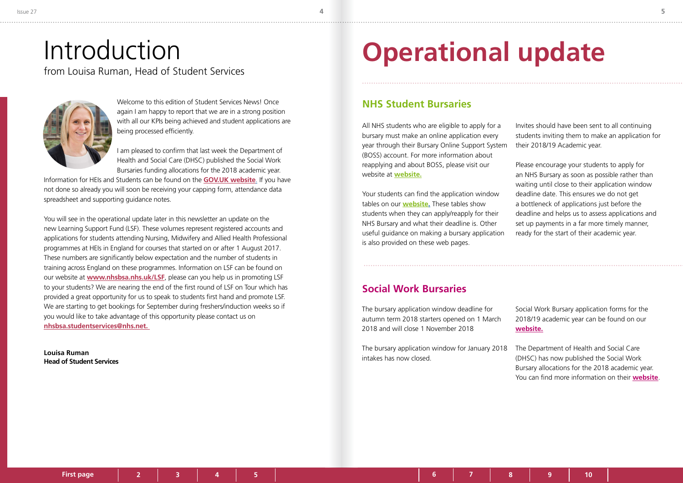**5**

Welcome to this edition of Student Services News! Once again I am happy to report that we are in a strong position with all our KPIs being achieved and student applications are being processed efficiently.

I am pleased to confirm that last week the Department of Health and Social Care (DHSC) published the Social Work Bursaries funding allocations for the 2018 academic year.

Information for HEIs and Students can be found on the **[GOV.UK website](https://www.gov.uk/government/publications/reforming-social-work-bursary-information-packs)**. If you have not done so already you will soon be receiving your capping form, attendance data spreadsheet and supporting guidance notes.

You will see in the operational update later in this newsletter an update on the new Learning Support Fund (LSF). These volumes represent registered accounts and applications for students attending Nursing, Midwifery and Allied Health Professional programmes at HEIs in England for courses that started on or after 1 August 2017. These numbers are significantly below expectation and the number of students in training across England on these programmes. Information on LSF can be found on our website at **www.nhsbsa.nhs.uk/LSF**, please can you help us in promoting LSF to your students? We are nearing the end of the first round of LSF on Tour which has provided a great opportunity for us to speak to students first hand and promote LSF. We are starting to get bookings for September during freshers/induction weeks so if you would like to take advantage of this opportunity please contact us on **nhsbsa.studentservices@nhs.net.** 

**Louisa Ruman Head of Student Services**

#### <span id="page-2-0"></span>Introduction from Louisa Ruman, Head of Student Services



### **Operational update**

All NHS students who are eligible to apply for a bursary must make an online application every year through their Bursary Online Support System (BOSS) account. For more information about reapplying and about BOSS, please visit our website at **[website.](https://www.nhsbsa.nhs.uk/nhs-bursary-students)** Invites should have been sent to all continuing students inviting them to make an application for their 2018/19 Academic year. Please encourage your students to apply for an NHS Bursary as soon as possible rather than

Your students can find the application window tables on our **[website.](https://www.nhsbsa.nhs.uk/nhs-bursary-students/application-deadlines)** These tables show students when they can apply/reapply for their NHS Bursary and what their deadline is. Other useful guidance on making a bursary application is also provided on these web pages.

waiting until close to their application window deadline date. This ensures we do not get a bottleneck of applications just before the deadline and helps us to assess applications and set up payments in a far more timely manner, ready for the start of their academic year.

#### **NHS Student Bursaries**

The bursary application window deadline for autumn term 2018 starters opened on 1 March 2018 and will close 1 November 2018

The bursary application window for January 2018 intakes has now closed.

Social Work Bursary application forms for the 2018/19 academic year can be found on our **[website.](https://www.nhsbsa.nhs.uk/social-work-students)**

The Department of Health and Social Care (DHSC) has now published the Social Work Bursary allocations for the 2018 academic year. You can find more information on their **[website](https://www.gov.uk/government/publications/reforming-social-work-bursary-information-packs)**.

#### **Social Work Bursaries**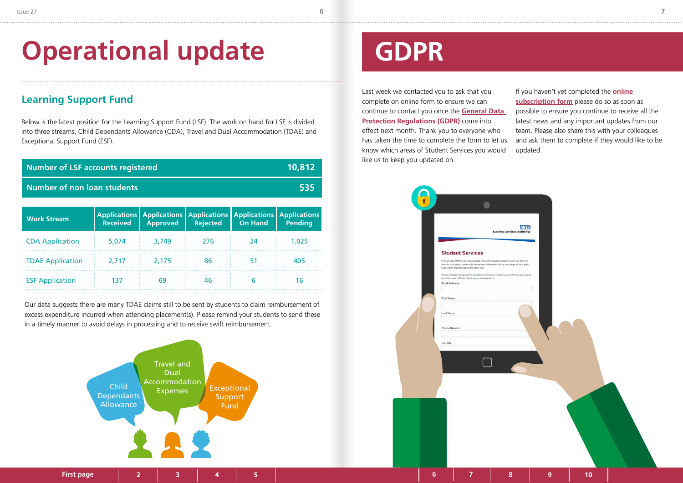

## <span id="page-3-0"></span>**Operational update**

Below is the latest position for the Learning Support Fund (LSF). The work on hand for LSF is divided into three streams, Child Dependants Allowance (CDA), Travel and Dual Accommodation (TDAE) and Exceptional Support Fund (ESF).

#### **Learning Support Fund**



| <b>Work Stream</b>      | <b>Received</b> | <b>Approved</b> | Applications   Applications   Applications   Applications   Applications  <br><b>Rejected</b> | <b>On Hand</b> | <b>Pending</b> |
|-------------------------|-----------------|-----------------|-----------------------------------------------------------------------------------------------|----------------|----------------|
| <b>CDA Application</b>  | 5,074           | 3,749           | 276                                                                                           | -24            | 1,025          |
| <b>TDAE Application</b> | 2,717           | 2,175           | 86                                                                                            | 51             | 405            |
| <b>ESF Application</b>  | 137             | 69              | 46                                                                                            | b              | 16             |

| <b>Number of LSF accounts registered</b> | 10,812                                                             |  |  |  |
|------------------------------------------|--------------------------------------------------------------------|--|--|--|
| <b>Number of non loan students</b>       | 535                                                                |  |  |  |
|                                          |                                                                    |  |  |  |
|                                          | <b>Annications</b> Annications Annications Annications Annications |  |  |  |

Our data suggests there are many TDAE claims still to be sent by students to claim reimbursement of excess expenditure incurred when attending placement(s). Please remind your students to send these in a timely manner to avoid delays in processing and to receive swift reimbursement.

## **GDPR**

Last week we contacted you to ask that you complete on online form to ensure we can continue to contact you once the **[General Data](https://ico.org.uk/for-organisations/guide-to-the-general-data-protection-regulation-gdpr/)  [Protection Regulations \(GDPR\)](https://ico.org.uk/for-organisations/guide-to-the-general-data-protection-regulation-gdpr/)** come into effect next month. Thank you to everyone who has taken the time to complete the form to let us know which areas of Student Services you would like us to keep you updated on. If you haven't yet completed the **[online](https://nhs.us12.list-manage.com/subscribe?u=73c3d4c9798efad92c827e730&id=2ad95ac231)  [subscription form](https://nhs.us12.list-manage.com/subscribe?u=73c3d4c9798efad92c827e730&id=2ad95ac231)** please do so as soon as possible to ensure you continue to receive all the latest news and any important updates from our team. Please also share this with your colleagues and ask them to complete if they would like to be updated.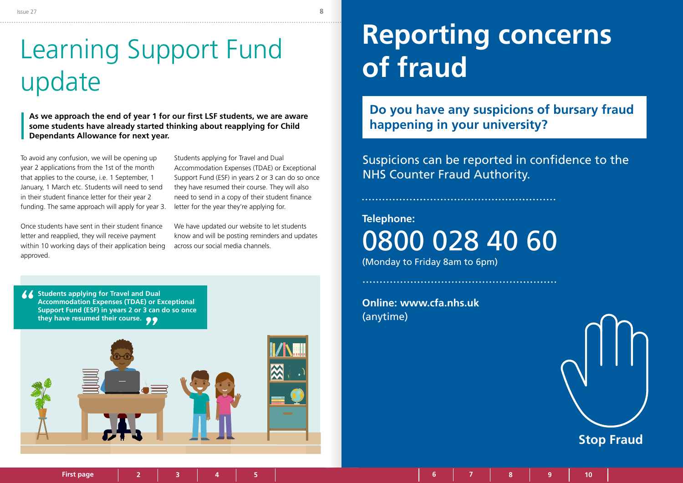**[6](#page-3-0) [7](#page-3-0) 8 9 [10](#page-5-0)**

### <span id="page-4-0"></span>Learning Support Fund update

To avoid any confusion, we will be opening up year 2 applications from the 1st of the month that applies to the course, i.e. 1 September, 1 January, 1 March etc. Students will need to send in their student finance letter for their year 2 funding. The same approach will apply for year 3.

Once students have sent in their student finance letter and reapplied, they will receive payment within 10 working days of their application being approved.

Students applying for Travel and Dual Accommodation Expenses (TDAE) or Exceptional Support Fund (ESF) in years 2 or 3 can do so once they have resumed their course. They will also need to send in a copy of their student finance letter for the year they're applying for.

We have updated our website to let students know and will be posting reminders and updates across our social media channels.

**As we approach the end of year 1 for our first LSF students, we are aware some students have already started thinking about reapplying for Child Dependants Allowance for next year.**

# **Reporting concerns of fraud**

**Do you have any suspicions of bursary fraud happening in your university?**

Suspicions can be reported in confidence to the NHS Counter Fraud Authority.

**Telephone:**  0800 028 40 60 (Monday to Friday 8am to 6pm)

**Online: [www.](http://www.cfa.nhs.uk)cfa.nhs.uk** (anytime)

**[First page](#page-0-0) 1[2 3](#page-1-0) [4](#page-2-0) [5](#page-2-0)**